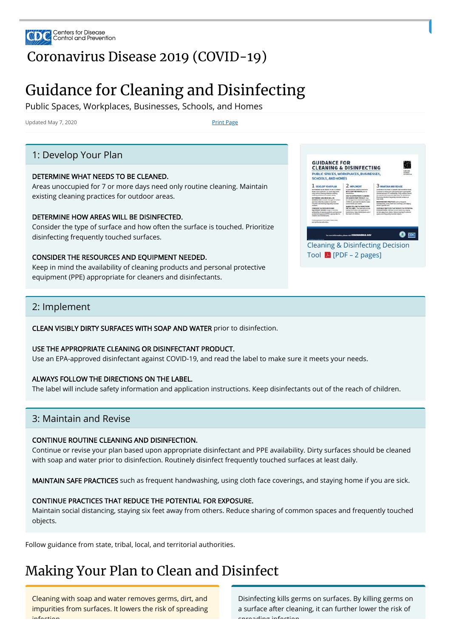

## [Coronavirus](https://www.cdc.gov/coronavirus/2019-nCoV/index.html) Disease 2019 (COVID-19)

## Guidance for Cleaning and Disinfecting

Public Spaces, Workplaces, Businesses, Schools, and Homes

Updated May 7, 2020 **Print Page** 

### 1: Develop Your Plan

#### DETERMINE WHAT NEEDS TO BE CLEANED.

Areas unoccupied for 7 or more days need only routine cleaning. Maintain existing cleaning practices for outdoor areas.

| <b>SCHOOLS, AND HOMES</b>                                                                                                                                                                                                                                                                                                                                                                                                                                                                                                                                                                                                                                                                                  | PUBLIC SPACES, WORKPLACES, BUSINESSES,                                                                                                                                                                                                                                                                                                                                                                                                                                                      | <b><i>USE THE</i></b>                                                                                                                                                                                                                                                                                                                                                                                                                                                                                                                                                                                                                                                                                                 |
|------------------------------------------------------------------------------------------------------------------------------------------------------------------------------------------------------------------------------------------------------------------------------------------------------------------------------------------------------------------------------------------------------------------------------------------------------------------------------------------------------------------------------------------------------------------------------------------------------------------------------------------------------------------------------------------------------------|---------------------------------------------------------------------------------------------------------------------------------------------------------------------------------------------------------------------------------------------------------------------------------------------------------------------------------------------------------------------------------------------------------------------------------------------------------------------------------------------|-----------------------------------------------------------------------------------------------------------------------------------------------------------------------------------------------------------------------------------------------------------------------------------------------------------------------------------------------------------------------------------------------------------------------------------------------------------------------------------------------------------------------------------------------------------------------------------------------------------------------------------------------------------------------------------------------------------------------|
| <b>DEVELOP YOUR PLAN</b><br>THE FERENIA MALAY MEETING TO BE CLICARED.<br>Simply planet for Tick being cared.<br>only neutron classing. Matrixin existing<br>closelver presidiunt for curbiters person.<br>DETERMINE HOW REASONNELL RE-<br>DISMITS, Consider the luxe of surface<br>and how often the narbor is box hed.<br>Printillar delated by has arrily to a feel<br><b><i><u>SAFARAN</u></i></b><br>COMBADER TWO BEES/USED: AND<br><b>EQUIPMENT MEEDED. Hang In relied that</b><br>as all addition of classroom sensituate and spectrum.<br>pretiachyphysics and (PPE) appropriate for<br><b>Ideasen and distributants</b><br>Follow autostu-from state, tribal, local,<br>and bothorial authorities. | <b>MPLEMENT</b><br>CLEAN VISIBLE SHIFTY SUMMISSION<br><b>METH SOAP AND WATER USU TO</b><br><b>Guidadella</b><br>USE THE APPROPRIATE CLEANING<br>08 DISMITS CRAWT PRODUCT, Inc.<br>an 17% approved stabilized analysis<br>COVID-15, and read the labot to realize<br>age is week your tenth.<br>ALWAYS FOLLOW THE SISECTIONS<br><b>DK Tool: LABEL</b> , The latest artifaudos<br>satisfy information and application<br>Indeptions Now Additional rate of<br><b>Post houghts of children</b> | <b>MAINTAIN AND REVISE</b><br>CONTINUE ROUTING CLEANING AND DISINFECTION.<br>Continue of revise-your plan for entirely apply appropriate<br>(in) Gerian Land 777, predictivity, Chris in Player choose<br>be cleaned with augustal water prior to disinfection.<br>finalizery distributives presumity treatment surfaces at<br>legal data:<br><b>BIRNTAIN DATE FRACTICES such as Invested</b><br>handspaining, as highlight face monitors, and clasing<br>because of special provisions.<br>CONTINUE PERCYCLE THAT BESINCE THE PUTENTIES.<br><b>TOB DEPOSIBEC</b> , Hubstate covint distancing, Varying<br>als feed geasy fours oldered. Sindance shartest of convenient<br>grains and Praguarety traxition relation. |
|                                                                                                                                                                                                                                                                                                                                                                                                                                                                                                                                                                                                                                                                                                            | For more information, please visit CORONAMIRUS GOV                                                                                                                                                                                                                                                                                                                                                                                                                                          |                                                                                                                                                                                                                                                                                                                                                                                                                                                                                                                                                                                                                                                                                                                       |
|                                                                                                                                                                                                                                                                                                                                                                                                                                                                                                                                                                                                                                                                                                            |                                                                                                                                                                                                                                                                                                                                                                                                                                                                                             | <b>Cleaning &amp; Disinfecting Decision</b>                                                                                                                                                                                                                                                                                                                                                                                                                                                                                                                                                                                                                                                                           |
|                                                                                                                                                                                                                                                                                                                                                                                                                                                                                                                                                                                                                                                                                                            | Tool $\angle$ [PDF – 2 pages]                                                                                                                                                                                                                                                                                                                                                                                                                                                               |                                                                                                                                                                                                                                                                                                                                                                                                                                                                                                                                                                                                                                                                                                                       |

#### DETERMINE HOW AREAS WILL BE DISINFECTED.

Consider the type of surface and how often the surface is touched. Prioritize disinfecting frequently touched surfaces.

#### CONSIDER THE RESOURCES AND EQUIPMENT NEEDED.

Keep in mind the availability of cleaning products and personal protective equipment (PPE) appropriate for cleaners and disinfectants.

### 2: Implement

CLEAN VISIBLY DIRTY SURFACES WITH SOAP AND WATER prior to disinfection.

#### USE THE APPROPRIATE CLEANING OR DISINFECTANT PRODUCT.

Use an EPA-approved disinfectant against COVID-19, and read the label to make sure it meets your needs.

#### ALWAYS FOLLOW THE DIRECTIONS ON THE LABEL.

The label will include safety information and application instructions. Keep disinfectants out of the reach of children.

### 3: Maintain and Revise

#### CONTINUE ROUTINE CLEANING AND DISINFECTION.

Continue or revise your plan based upon appropriate disinfectant and PPE availability. Dirty surfaces should be cleaned with soap and water prior to disinfection. Routinely disinfect frequently touched surfaces at least daily.

MAINTAIN SAFE PRACTICES such as frequent handwashing, using cloth face coverings, and staying home if you are sick.

#### CONTINUE PRACTICES THAT REDUCE THE POTENTIAL FOR EXPOSURE.

Maintain social distancing, staying six feet away from others. Reduce sharing of common spaces and frequently touched objects.

Follow guidance from state, tribal, local, and territorial authorities.

## Making Your Plan to Clean and Disinfect

Cleaning with soap and water removes germs, dirt, and impurities from surfaces. It lowers the risk of spreading infection

Disinfecting kills germs on surfaces. By killing germs on a surface after cleaning, it can further lower the risk of spreading infection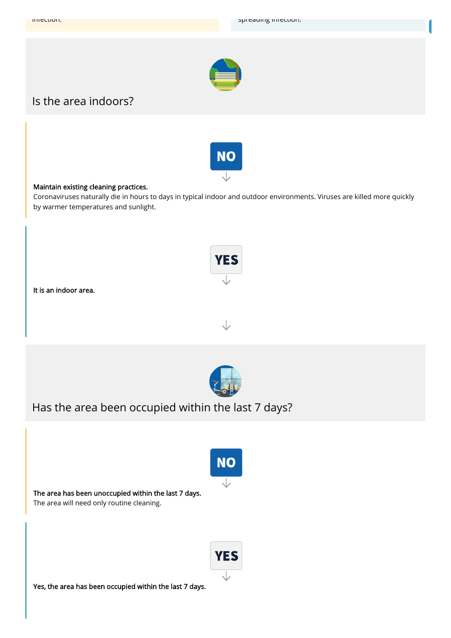

### Is the area indoors?



#### Maintain existing cleaning practices.

Coronaviruses naturally die in hours to days in typical indoor and outdoor environments. Viruses are killed more quickly by warmer temperatures and sunlight.

**YES** 





Has the area been occupied within the last 7 days?

# **NO**

∨

The area has been unoccupied within the last 7 days.

The area will need only routine cleaning.



Yes, the area has been occupied within the last 7 days.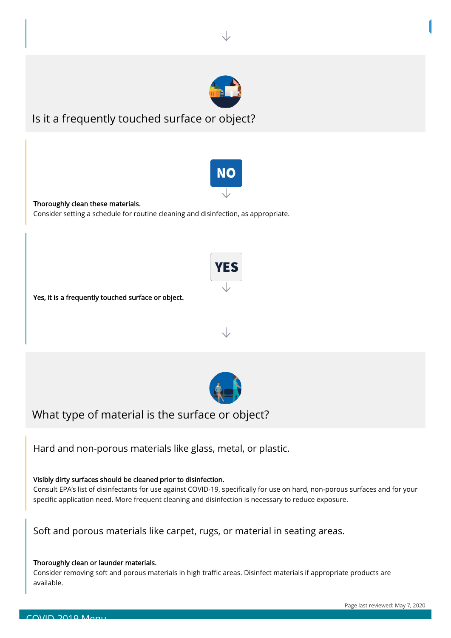

### Is it a frequently touched surface or object?



**YES** 

#### Thoroughly clean these materials.

Consider setting a schedule for routine cleaning and disinfection, as appropriate.





What type of material is the surface or object?

Hard and non-porous materials like glass, metal, or plastic.

Visibly dirty surfaces should be cleaned prior to disinfection.

Consult EPA's list of disinfectants for use against COVID-19, specifically for use on hard, non-porous surfaces and for your specific application need. More frequent cleaning and disinfection is necessary to reduce exposure.

Consider removing soft and porous materials in high traffic areas. Disinfect materials if appropriate products are available.

### Soft and porous materials like carpet, rugs, or material in seating areas.

### Thoroughly clean or launder materials.

Page last reviewed: May 7, 2020